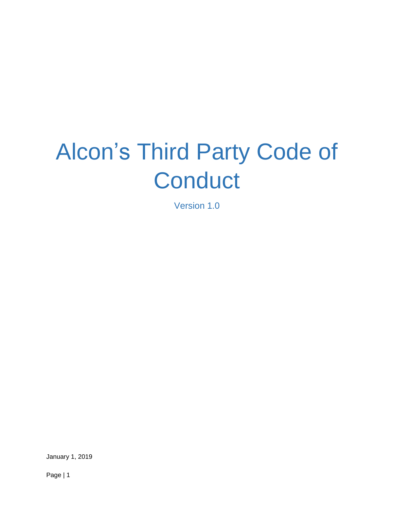# Alcon's Third Party Code of **Conduct**

Version 1.0

January 1, 2019

Page | 1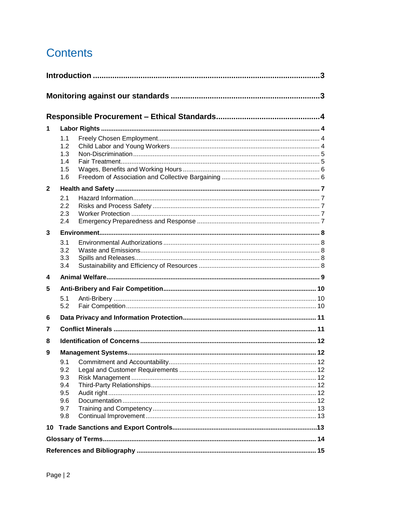# **Contents**

| 1            |                                                      |  |  |  |
|--------------|------------------------------------------------------|--|--|--|
|              | 1.1<br>1.2<br>1.3<br>1.4<br>1.5<br>1.6               |  |  |  |
| $\mathbf{2}$ |                                                      |  |  |  |
|              | 2.1<br>2.2<br>2.3<br>2.4                             |  |  |  |
| 3            |                                                      |  |  |  |
|              | 3.1<br>3.2<br>3.3<br>3.4                             |  |  |  |
| 4            |                                                      |  |  |  |
| 5            |                                                      |  |  |  |
|              | 5.1<br>5.2                                           |  |  |  |
| 6            |                                                      |  |  |  |
| 7            |                                                      |  |  |  |
| 8            |                                                      |  |  |  |
| 9            |                                                      |  |  |  |
|              | 9.1<br>9.2<br>9.3<br>9.4<br>9.5<br>9.6<br>9.7<br>9.8 |  |  |  |
|              |                                                      |  |  |  |
|              |                                                      |  |  |  |
|              |                                                      |  |  |  |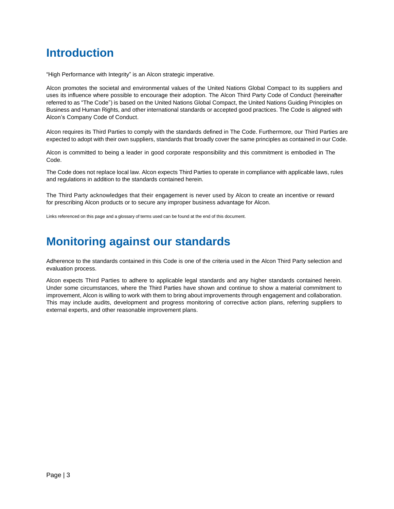# **Introduction**

"High Performance with Integrity" is an Alcon strategic imperative.

Alcon promotes the societal and environmental values of the United Nations Global Compact to its suppliers and uses its influence where possible to encourage their adoption. The Alcon Third Party Code of Conduct (hereinafter referred to as "The Code") is based on the United Nations Global Compact, the United Nations Guiding Principles on Business and Human Rights, and other international standards or accepted good practices. The Code is aligned with Alcon's Company Code of Conduct.

Alcon requires its Third Parties to comply with the standards defined in The Code. Furthermore, our Third Parties are expected to adopt with their own suppliers, standards that broadly cover the same principles as contained in our Code.

Alcon is committed to being a leader in good corporate responsibility and this commitment is embodied in The Code.

The Code does not replace local law. Alcon expects Third Parties to operate in compliance with applicable laws, rules and regulations in addition to the standards contained herein.

The Third Party acknowledges that their engagement is never used by Alcon to create an incentive or reward for prescribing Alcon products or to secure any improper business advantage for Alcon.

Links referenced on this page and a glossary of terms used can be found at the end of this document.

## **Monitoring against our standards**

Adherence to the standards contained in this Code is one of the criteria used in the Alcon Third Party selection and evaluation process.

Alcon expects Third Parties to adhere to applicable legal standards and any higher standards contained herein. Under some circumstances, where the Third Parties have shown and continue to show a material commitment to improvement, Alcon is willing to work with them to bring about improvements through engagement and collaboration. This may include audits, development and progress monitoring of corrective action plans, referring suppliers to external experts, and other reasonable improvement plans.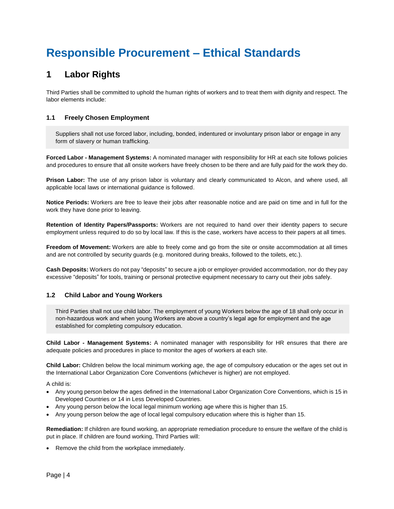# **Responsible Procurement – Ethical Standards**

### **1 Labor Rights**

Third Parties shall be committed to uphold the human rights of workers and to treat them with dignity and respect. The labor elements include:

### **1.1 Freely Chosen Employment**

Suppliers shall not use forced labor, including, bonded, indentured or involuntary prison labor or engage in any form of slavery or human trafficking.

**Forced Labor - Management Systems:** A nominated manager with responsibility for HR at each site follows policies and procedures to ensure that all onsite workers have freely chosen to be there and are fully paid for the work they do.

**Prison Labor:** The use of any prison labor is voluntary and clearly communicated to Alcon, and where used, all applicable local laws or international guidance is followed.

**Notice Periods:** Workers are free to leave their jobs after reasonable notice and are paid on time and in full for the work they have done prior to leaving.

**Retention of Identity Papers/Passports:** Workers are not required to hand over their identity papers to secure employment unless required to do so by local law. If this is the case, workers have access to their papers at all times.

**Freedom of Movement:** Workers are able to freely come and go from the site or onsite accommodation at all times and are not controlled by security guards (e.g. monitored during breaks, followed to the toilets, etc.).

**Cash Deposits:** Workers do not pay "deposits" to secure a job or employer-provided accommodation, nor do they pay excessive "deposits" for tools, training or personal protective equipment necessary to carry out their jobs safely.

### **1.2 Child Labor and Young Workers**

Third Parties shall not use child labor. The employment of young Workers below the age of 18 shall only occur in non-hazardous work and when young Workers are above a country's legal age for employment and the age established for completing compulsory education.

**Child Labor - Management Systems:** A nominated manager with responsibility for HR ensures that there are adequate policies and procedures in place to monitor the ages of workers at each site.

**Child Labor:** Children below the local minimum working age, the age of compulsory education or the ages set out in the International Labor Organization Core Conventions (whichever is higher) are not employed.

A child is:

- Any young person below the ages defined in the International Labor Organization Core Conventions, which is 15 in Developed Countries or 14 in Less Developed Countries.
- Any young person below the local legal minimum working age where this is higher than 15.
- Any young person below the age of local legal compulsory education where this is higher than 15.

**Remediation:** If children are found working, an appropriate remediation procedure to ensure the welfare of the child is put in place. If children are found working, Third Parties will:

Remove the child from the workplace immediately.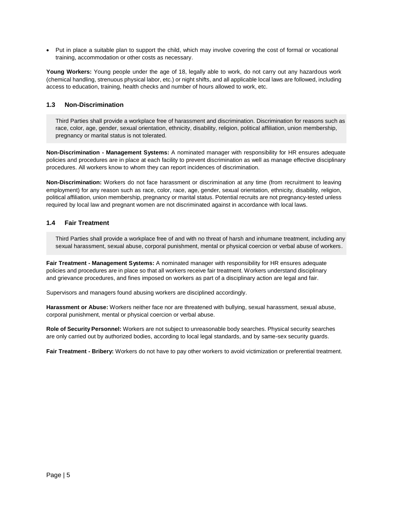• Put in place a suitable plan to support the child, which may involve covering the cost of formal or vocational training, accommodation or other costs as necessary.

**Young Workers:** Young people under the age of 18, legally able to work, do not carry out any hazardous work (chemical handling, strenuous physical labor, etc.) or night shifts, and all applicable local laws are followed, including access to education, training, health checks and number of hours allowed to work, etc.

### **1.3 Non-Discrimination**

Third Parties shall provide a workplace free of harassment and discrimination. Discrimination for reasons such as race, color, age, gender, sexual orientation, ethnicity, disability, religion, political affiliation, union membership, pregnancy or marital status is not tolerated.

**Non-Discrimination - Management Systems:** A nominated manager with responsibility for HR ensures adequate policies and procedures are in place at each facility to prevent discrimination as well as manage effective disciplinary procedures. All workers know to whom they can report incidences of discrimination.

**Non-Discrimination:** Workers do not face harassment or discrimination at any time (from recruitment to leaving employment) for any reason such as race, color, race, age, gender, sexual orientation, ethnicity, disability, religion, political affiliation, union membership, pregnancy or marital status. Potential recruits are not pregnancy-tested unless required by local law and pregnant women are not discriminated against in accordance with local laws.

### **1.4 Fair Treatment**

Third Parties shall provide a workplace free of and with no threat of harsh and inhumane treatment, including any sexual harassment, sexual abuse, corporal punishment, mental or physical coercion or verbal abuse of workers.

**Fair Treatment - Management Systems:** A nominated manager with responsibility for HR ensures adequate policies and procedures are in place so that all workers receive fair treatment. Workers understand disciplinary and grievance procedures, and fines imposed on workers as part of a disciplinary action are legal and fair.

Supervisors and managers found abusing workers are disciplined accordingly.

**Harassment or Abuse:** Workers neither face nor are threatened with bullying, sexual harassment, sexual abuse, corporal punishment, mental or physical coercion or verbal abuse.

**Role of Security Personnel:** Workers are not subject to unreasonable body searches. Physical security searches are only carried out by authorized bodies, according to local legal standards, and by same-sex security guards.

**Fair Treatment - Bribery:** Workers do not have to pay other workers to avoid victimization or preferential treatment.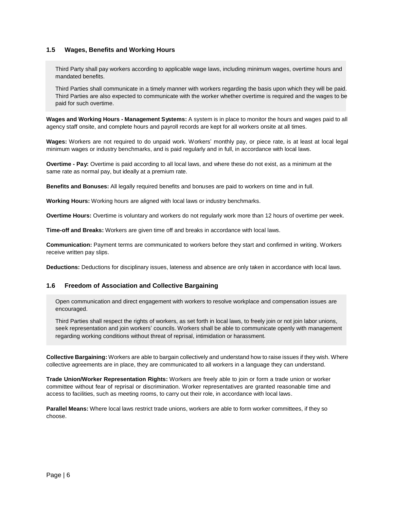### **1.5 Wages, Benefits and Working Hours**

Third Party shall pay workers according to applicable wage laws, including minimum wages, overtime hours and mandated benefits.

Third Parties shall communicate in a timely manner with workers regarding the basis upon which they will be paid. Third Parties are also expected to communicate with the worker whether overtime is required and the wages to be paid for such overtime.

**Wages and Working Hours - Management Systems:** A system is in place to monitor the hours and wages paid to all agency staff onsite, and complete hours and payroll records are kept for all workers onsite at all times.

**Wages:** Workers are not required to do unpaid work. Workers' monthly pay, or piece rate, is at least at local legal minimum wages or industry benchmarks, and is paid regularly and in full, in accordance with local laws.

**Overtime - Pay:** Overtime is paid according to all local laws, and where these do not exist, as a minimum at the same rate as normal pay, but ideally at a premium rate.

**Benefits and Bonuses:** All legally required benefits and bonuses are paid to workers on time and in full.

**Working Hours:** Working hours are aligned with local laws or industry benchmarks.

**Overtime Hours:** Overtime is voluntary and workers do not regularly work more than 12 hours of overtime per week.

**Time-off and Breaks:** Workers are given time off and breaks in accordance with local laws.

**Communication:** Payment terms are communicated to workers before they start and confirmed in writing. Workers receive written pay slips.

**Deductions:** Deductions for disciplinary issues, lateness and absence are only taken in accordance with local laws.

#### **1.6 Freedom of Association and Collective Bargaining**

Open communication and direct engagement with workers to resolve workplace and compensation issues are encouraged.

Third Parties shall respect the rights of workers, as set forth in local laws, to freely join or not join labor unions, seek representation and join workers' councils. Workers shall be able to communicate openly with management regarding working conditions without threat of reprisal, intimidation or harassment.

**Collective Bargaining:** Workers are able to bargain collectively and understand how to raise issues if they wish. Where collective agreements are in place, they are communicated to all workers in a language they can understand.

**Trade Union/Worker Representation Rights:** Workers are freely able to join or form a trade union or worker committee without fear of reprisal or discrimination. Worker representatives are granted reasonable time and access to facilities, such as meeting rooms, to carry out their role, in accordance with local laws.

**Parallel Means:** Where local laws restrict trade unions, workers are able to form worker committees, if they so choose.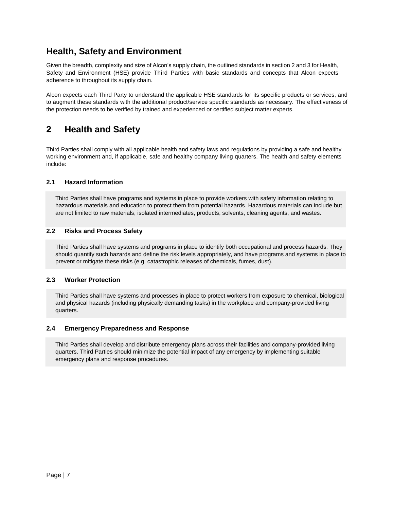### **Health, Safety and Environment**

Given the breadth, complexity and size of Alcon's supply chain, the outlined standards in section 2 and 3 for Health, Safety and Environment (HSE) provide Third Parties with basic standards and concepts that Alcon expects adherence to throughout its supply chain.

Alcon expects each Third Party to understand the applicable HSE standards for its specific products or services, and to augment these standards with the additional product/service specific standards as necessary. The effectiveness of the protection needs to be verified by trained and experienced or certified subject matter experts.

### **2 Health and Safety**

Third Parties shall comply with all applicable health and safety laws and regulations by providing a safe and healthy working environment and, if applicable, safe and healthy company living quarters. The health and safety elements include:

### **2.1 Hazard Information**

Third Parties shall have programs and systems in place to provide workers with safety information relating to hazardous materials and education to protect them from potential hazards. Hazardous materials can include but are not limited to raw materials, isolated intermediates, products, solvents, cleaning agents, and wastes.

### **2.2 Risks and Process Safety**

Third Parties shall have systems and programs in place to identify both occupational and process hazards. They should quantify such hazards and define the risk levels appropriately, and have programs and systems in place to prevent or mitigate these risks (e.g. catastrophic releases of chemicals, fumes, dust).

### **2.3 Worker Protection**

Third Parties shall have systems and processes in place to protect workers from exposure to chemical, biological and physical hazards (including physically demanding tasks) in the workplace and company-provided living quarters.

### **2.4 Emergency Preparedness and Response**

Third Parties shall develop and distribute emergency plans across their facilities and company-provided living quarters. Third Parties should minimize the potential impact of any emergency by implementing suitable emergency plans and response procedures.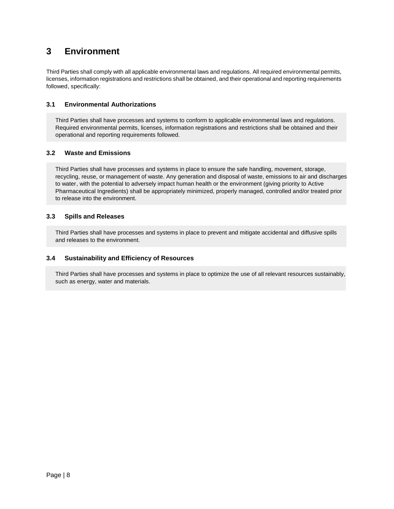### **3 Environment**

Third Parties shall comply with all applicable environmental laws and regulations. All required environmental permits, licenses, information registrations and restrictions shall be obtained, and their operational and reporting requirements followed, specifically:

### **3.1 Environmental Authorizations**

Third Parties shall have processes and systems to conform to applicable environmental laws and regulations. Required environmental permits, licenses, information registrations and restrictions shall be obtained and their operational and reporting requirements followed.

### **3.2 Waste and Emissions**

Third Parties shall have processes and systems in place to ensure the safe handling, movement, storage, recycling, reuse, or management of waste. Any generation and disposal of waste, emissions to air and discharges to water, with the potential to adversely impact human health or the environment (giving priority to Active Pharmaceutical Ingredients) shall be appropriately minimized, properly managed, controlled and/or treated prior to release into the environment.

### **3.3 Spills and Releases**

Third Parties shall have processes and systems in place to prevent and mitigate accidental and diffusive spills and releases to the environment.

### **3.4 Sustainability and Efficiency of Resources**

Third Parties shall have processes and systems in place to optimize the use of all relevant resources sustainably, such as energy, water and materials.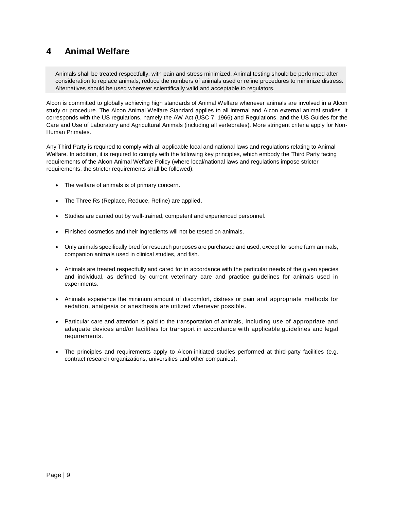### **4 Animal Welfare**

Animals shall be treated respectfully, with pain and stress minimized. Animal testing should be performed after consideration to replace animals, reduce the numbers of animals used or refine procedures to minimize distress. Alternatives should be used wherever scientifically valid and acceptable to regulators.

Alcon is committed to globally achieving high standards of Animal Welfare whenever animals are involved in a Alcon study or procedure. The Alcon Animal Welfare Standard applies to all internal and Alcon external animal studies. It corresponds with the US regulations, namely the AW Act (USC 7; 1966) and Regulations, and the US Guides for the Care and Use of Laboratory and Agricultural Animals (including all vertebrates). More stringent criteria apply for Non-Human Primates.

Any Third Party is required to comply with all applicable local and national laws and regulations relating to Animal Welfare. In addition, it is required to comply with the following key principles, which embody the Third Party facing requirements of the Alcon Animal Welfare Policy (where local/national laws and regulations impose stricter requirements, the stricter requirements shall be followed):

- The welfare of animals is of primary concern.
- The Three Rs (Replace, Reduce, Refine) are applied.
- Studies are carried out by well-trained, competent and experienced personnel.
- Finished cosmetics and their ingredients will not be tested on animals.
- Only animals specifically bred for research purposes are purchased and used, except for some farm animals, companion animals used in clinical studies, and fish.
- Animals are treated respectfully and cared for in accordance with the particular needs of the given species and individual, as defined by current veterinary care and practice guidelines for animals used in experiments.
- Animals experience the minimum amount of discomfort, distress or pain and appropriate methods for sedation, analgesia or anesthesia are utilized whenever possible.
- Particular care and attention is paid to the transportation of animals, including use of appropriate and adequate devices and/or facilities for transport in accordance with applicable guidelines and legal requirements.
- The principles and requirements apply to Alcon-initiated studies performed at third-party facilities (e.g. contract research organizations, universities and other companies).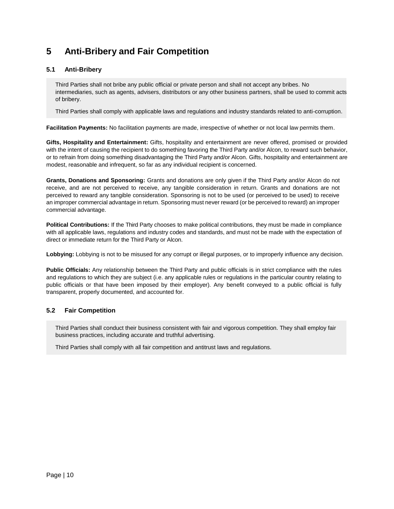### **5 Anti-Bribery and Fair Competition**

### **5.1 Anti-Bribery**

Third Parties shall not bribe any public official or private person and shall not accept any bribes. No intermediaries, such as agents, advisers, distributors or any other business partners, shall be used to commit acts of bribery.

Third Parties shall comply with applicable laws and regulations and industry standards related to anti-corruption.

**Facilitation Payments:** No facilitation payments are made, irrespective of whether or not local law permits them.

**Gifts, Hospitality and Entertainment:** Gifts, hospitality and entertainment are never offered, promised or provided with the intent of causing the recipient to do something favoring the Third Party and/or Alcon, to reward such behavior, or to refrain from doing something disadvantaging the Third Party and/or Alcon. Gifts, hospitality and entertainment are modest, reasonable and infrequent, so far as any individual recipient is concerned.

**Grants, Donations and Sponsoring:** Grants and donations are only given if the Third Party and/or Alcon do not receive, and are not perceived to receive, any tangible consideration in return. Grants and donations are not perceived to reward any tangible consideration. Sponsoring is not to be used (or perceived to be used) to receive an improper commercial advantage in return. Sponsoring must never reward (or be perceived to reward) an improper commercial advantage.

**Political Contributions:** If the Third Party chooses to make political contributions, they must be made in compliance with all applicable laws, regulations and industry codes and standards, and must not be made with the expectation of direct or immediate return for the Third Party or Alcon.

**Lobbying:** Lobbying is not to be misused for any corrupt or illegal purposes, or to improperly influence any decision.

**Public Officials:** Any relationship between the Third Party and public officials is in strict compliance with the rules and regulations to which they are subject (i.e. any applicable rules or regulations in the particular country relating to public officials or that have been imposed by their employer). Any benefit conveyed to a public official is fully transparent, properly documented, and accounted for.

### **5.2 Fair Competition**

Third Parties shall conduct their business consistent with fair and vigorous competition. They shall employ fair business practices, including accurate and truthful advertising.

Third Parties shall comply with all fair competition and antitrust laws and regulations.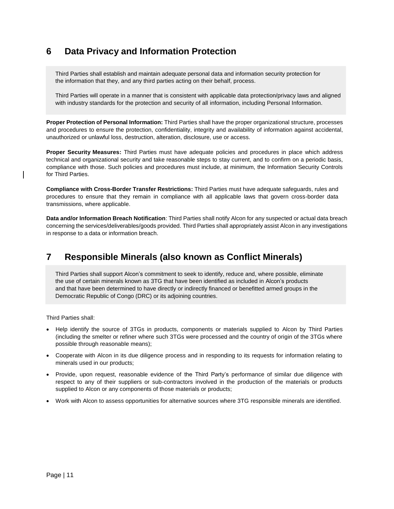### **6 Data Privacy and Information Protection**

Third Parties shall establish and maintain adequate personal data and information security protection for the information that they, and any third parties acting on their behalf, process.

Third Parties will operate in a manner that is consistent with applicable data protection/privacy laws and aligned with industry standards for the protection and security of all information, including Personal Information.

**Proper Protection of Personal Information:** Third Parties shall have the proper organizational structure, processes and procedures to ensure the protection, confidentiality, integrity and availability of information against accidental, unauthorized or unlawful loss, destruction, alteration, disclosure, use or access.

**Proper Security Measures:** Third Parties must have adequate policies and procedures in place which address technical and organizational security and take reasonable steps to stay current, and to confirm on a periodic basis, compliance with those. Such policies and procedures must include, at minimum, the Information Security Controls for Third Parties.

**Compliance with Cross-Border Transfer Restrictions:** Third Parties must have adequate safeguards, rules and procedures to ensure that they remain in compliance with all applicable laws that govern cross-border data transmissions, where applicable.

**Data and/or Information Breach Notification**: Third Parties shall notify Alcon for any suspected or actual data breach concerning the services/deliverables/goods provided. Third Parties shall appropriately assist Alcon in any investigations in response to a data or information breach.

### **7 Responsible Minerals (also known as Conflict Minerals)**

Third Parties shall support Alcon's commitment to seek to identify, reduce and, where possible, eliminate the use of certain minerals known as 3TG that have been identified as included in Alcon's products and that have been determined to have directly or indirectly financed or benefitted armed groups in the Democratic Republic of Congo (DRC) or its adjoining countries.

Third Parties shall:

- Help identify the source of 3TGs in products, components or materials supplied to Alcon by Third Parties (including the smelter or refiner where such 3TGs were processed and the country of origin of the 3TGs where possible through reasonable means);
- Cooperate with Alcon in its due diligence process and in responding to its requests for information relating to minerals used in our products;
- Provide, upon request, reasonable evidence of the Third Party's performance of similar due diligence with respect to any of their suppliers or sub-contractors involved in the production of the materials or products supplied to Alcon or any components of those materials or products;
- Work with Alcon to assess opportunities for alternative sources where 3TG responsible minerals are identified.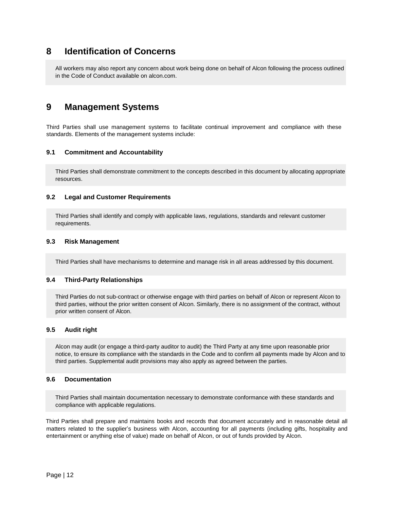### **8 Identification of Concerns**

All workers may also report any concern about work being done on behalf of Alcon following the process outlined in the Code of Conduct available on [alcon.com.](https://www.alcon.com/) 

### **9 Management Systems**

Third Parties shall use management systems to facilitate continual improvement and compliance with these standards. Elements of the management systems include:

### **9.1 Commitment and Accountability**

Third Parties shall demonstrate commitment to the concepts described in this document by allocating appropriate resources.

#### **9.2 Legal and Customer Requirements**

Third Parties shall identify and comply with applicable laws, regulations, standards and relevant customer requirements.

#### **9.3 Risk Management**

Third Parties shall have mechanisms to determine and manage risk in all areas addressed by this document.

#### **9.4 Third-Party Relationships**

Third Parties do not sub-contract or otherwise engage with third parties on behalf of Alcon or represent Alcon to third parties, without the prior written consent of Alcon. Similarly, there is no assignment of the contract, without prior written consent of Alcon.

#### **9.5 Audit right**

Alcon may audit (or engage a third-party auditor to audit) the Third Party at any time upon reasonable prior notice, to ensure its compliance with the standards in the Code and to confirm all payments made by Alcon and to third parties. Supplemental audit provisions may also apply as agreed between the parties.

### **9.6 Documentation**

Third Parties shall maintain documentation necessary to demonstrate conformance with these standards and compliance with applicable regulations.

Third Parties shall prepare and maintains books and records that document accurately and in reasonable detail all matters related to the supplier's business with Alcon, accounting for all payments (including gifts, hospitality and entertainment or anything else of value) made on behalf of Alcon, or out of funds provided by Alcon.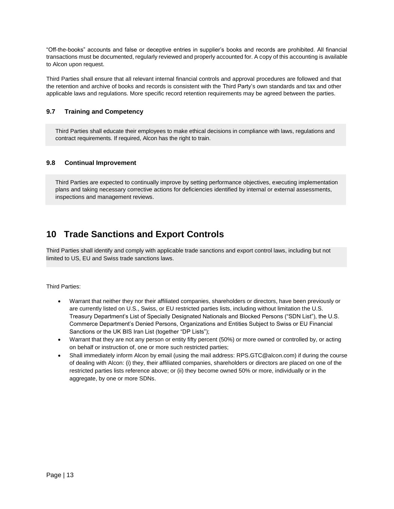"Off-the-books" accounts and false or deceptive entries in supplier's books and records are prohibited. All financial transactions must be documented, regularly reviewed and properly accounted for. A copy of this accounting is available to Alcon upon request.

Third Parties shall ensure that all relevant internal financial controls and approval procedures are followed and that the retention and archive of books and records is consistent with the Third Party's own standards and tax and other applicable laws and regulations. More specific record retention requirements may be agreed between the parties.

### **9.7 Training and Competency**

Third Parties shall educate their employees to make ethical decisions in compliance with laws, regulations and contract requirements*.* If required, Alcon has the right to train.

### **9.8 Continual Improvement**

Third Parties are expected to continually improve by setting performance objectives, executing implementation plans and taking necessary corrective actions for deficiencies identified by internal or external assessments, inspections and management reviews.

### **10 Trade Sanctions and Export Controls**

Third Parties shall identify and comply with applicable trade sanctions and export control laws, including but not limited to US, EU and Swiss trade sanctions laws.

Third Parties:

- Warrant that neither they nor their affiliated companies, shareholders or directors, have been previously or are currently listed on U.S., Swiss, or EU restricted parties lists, including without limitation the U.S. Treasury Department's List of Specially Designated Nationals and Blocked Persons ("SDN List"), the U.S. Commerce Department's Denied Persons, Organizations and Entities Subject to Swiss or EU Financial Sanctions or the UK BIS Iran List (together "DP Lists");
- Warrant that they are not any person or entity fifty percent (50%) or more owned or controlled by, or acting on behalf or instruction of, one or more such restricted parties;
- Shall immediately inform Alcon by email (using the mail address[: RPS.GTC@alcon.com\)](mailto:RPS.GTC@alcon.com) if during the course of dealing with Alcon: (i) they, their affiliated companies, shareholders or directors are placed on one of the restricted parties lists reference above; or (ii) they become owned 50% or more, individually or in the aggregate, by one or more SDNs.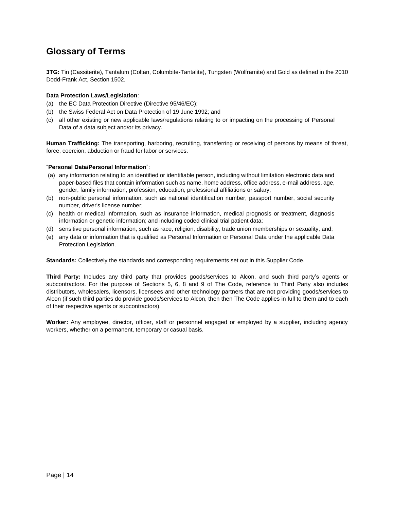### **Glossary of Terms**

**3TG:** Tin (Cassiterite), Tantalum (Coltan, Columbite-Tantalite), Tungsten (Wolframite) and Gold as defined in the 2010 Dodd-Frank Act, Section 1502.

### **Data Protection Laws/Legislation**:

- (a) the EC Data Protection Directive (Directive 95/46/EC);
- (b) the Swiss Federal Act on Data Protection of 19 June 1992; and
- (c) all other existing or new applicable laws/regulations relating to or impacting on the processing of Personal Data of a data subject and/or its privacy.

**Human Trafficking:** The transporting, harboring, recruiting, transferring or receiving of persons by means of threat, force, coercion, abduction or fraud for labor or services.

### "**Personal Data/Personal Information**":

- (a) any information relating to an identified or identifiable person, including without limitation electronic data and paper-based files that contain information such as name, home address, office address, e-mail address, age, gender, family information, profession, education, professional affiliations or salary;
- (b) non-public personal information, such as national identification number, passport number, social security number, driver's license number;
- (c) health or medical information, such as insurance information, medical prognosis or treatment, diagnosis information or genetic information; and including coded clinical trial patient data;
- (d) sensitive personal information, such as race, religion, disability, trade union memberships or sexuality, and;
- (e) any data or information that is qualified as Personal Information or Personal Data under the applicable Data Protection Legislation.

**Standards:** Collectively the standards and corresponding requirements set out in this Supplier Code.

**Third Party:** Includes any third party that provides goods/services to Alcon, and such third party's agents or subcontractors. For the purpose of Sections 5, 6, 8 and 9 of The Code, reference to Third Party also includes distributors, wholesalers, licensors, licensees and other technology partners that are not providing goods/services to Alcon (if such third parties do provide goods/services to Alcon, then then The Code applies in full to them and to each of their respective agents or subcontractors).

**Worker:** Any employee, director, officer, staff or personnel engaged or employed by a supplier, including agency workers, whether on a permanent, temporary or casual basis.